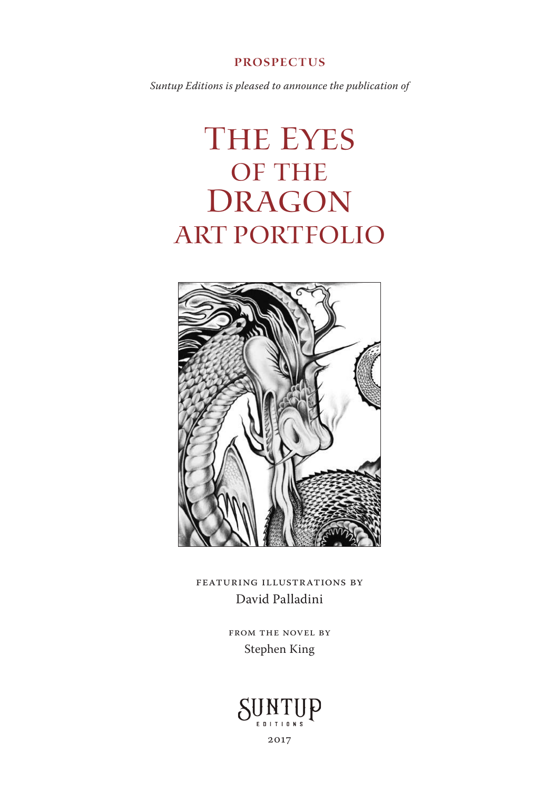## prospectus

*Suntup Editions is pleased to announce the publication of*

# The Eyes OF THE **DRAGON ART PORTFOLIO**



FEATURING ILLUSTRATIONS BY David Palladini

> FROM THE NOVEL BY Stephen King



2017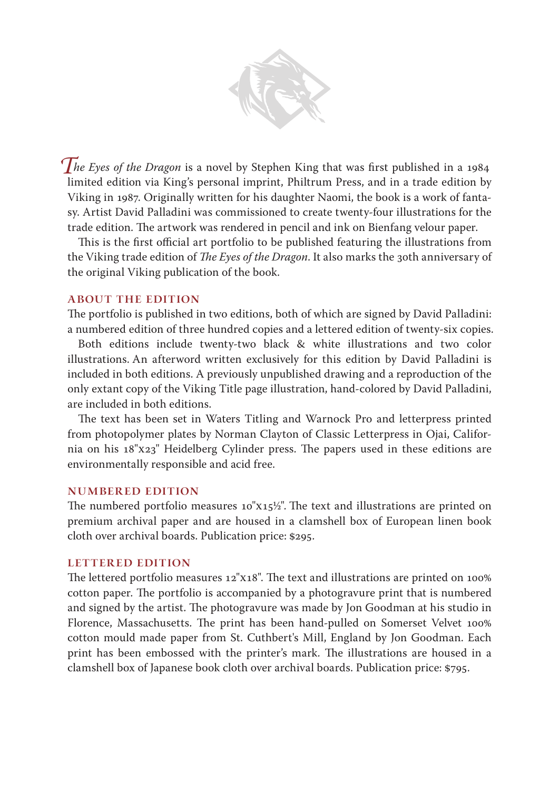

*The Eyes of the Dragon* is a novel by Stephen King that was first published in a 1984 limited edition via King's personal imprint, Philtrum Press, and in a trade edition by Viking in 1987. Originally written for his daughter Naomi, the book is a work of fantasy. Artist David Palladini was commissioned to create twenty-four illustrations for the trade edition. The artwork was rendered in pencil and ink on Bienfang velour paper.

This is the first official art portfolio to be published featuring the illustrations from the Viking trade edition of *The Eyes of the Dragon*. It also marks the 30th anniversary of the original Viking publication of the book.

# ABOUT THE EDITION

The portfolio is published in two editions, both of which are signed by David Palladini: a numbered edition of three hundred copies and a lettered edition of twenty-six copies.

Both editions include twenty-two black & white illustrations and two color illustrations. An afterword written exclusively for this edition by David Palladini is included in both editions. A previously unpublished drawing and a reproduction of the only extant copy of the Viking Title page illustration, hand-colored by David Palladini, are included in both editions.

The text has been set in Waters Titling and Warnock Pro and letterpress printed from photopolymer plates by Norman Clayton of Classic Letterpress in Ojai, California on his 18"x23" Heidelberg Cylinder press. The papers used in these editions are environmentally responsible and acid free.

#### NUMBERED EDITION

The numbered portfolio measures  $10"x15\frac{1}{2}$ ". The text and illustrations are printed on premium archival paper and are housed in a clamshell box of European linen book cloth over archival boards. Publication price: \$295.

## LETTERED EDITION

The lettered portfolio measures  $12"x18"$ . The text and illustrations are printed on  $100\%$ cotton paper. The portfolio is accompanied by a photogravure print that is numbered and signed by the artist. The photogravure was made by Jon Goodman at his studio in Florence, Massachusetts. The print has been hand-pulled on Somerset Velvet 100% cotton mould made paper from St. Cuthbert's Mill, England by Jon Goodman. Each print has been embossed with the printer's mark. The illustrations are housed in a clamshell box of Japanese book cloth over archival boards. Publication price: \$795.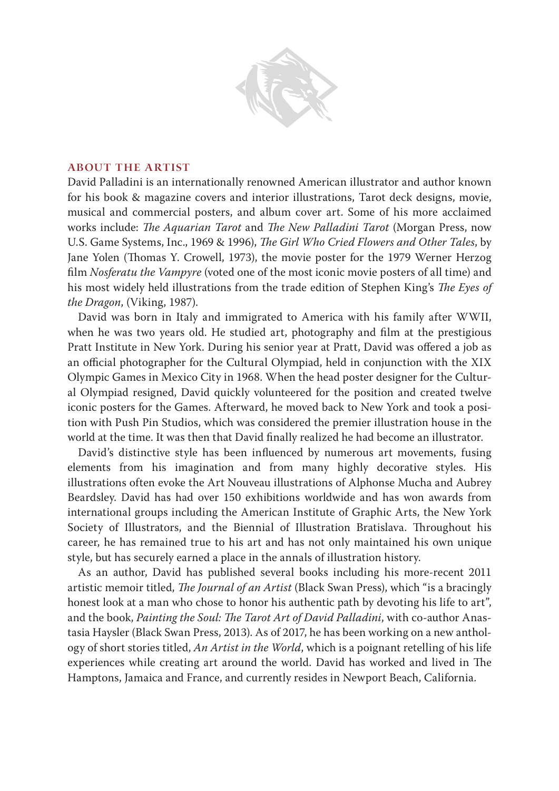

#### ABOUT THE artist

David Palladini is an internationally renowned American illustrator and author known for his book & magazine covers and interior illustrations, Tarot deck designs, movie, musical and commercial posters, and album cover art. Some of his more acclaimed works include: *The Aquarian Tarot* and *The New Palladini Tarot* (Morgan Press, now U.S. Game Systems, Inc., 1969 & 1996), *e Girl Who Cried Flowers and Other Tales*, by Jane Yolen (Thomas Y. Crowell, 1973), the movie poster for the 1979 Werner Herzog film *Nosferatu the Vampyre* (voted one of the most iconic movie posters of all time) and his most widely held illustrations from the trade edition of Stephen King's *The Eyes of the Dragon*, (Viking, 1987).

David was born in Italy and immigrated to America with his family after WWII, when he was two years old. He studied art, photography and film at the prestigious Pratt Institute in New York. During his senior year at Pratt, David was offered a job as an official photographer for the Cultural Olympiad, held in conjunction with the XIX Olympic Games in Mexico City in 1968. When the head poster designer for the Cultural Olympiad resigned, David quickly volunteered for the position and created twelve iconic posters for the Games. Afterward, he moved back to New York and took a position with Push Pin Studios, which was considered the premier illustration house in the world at the time. It was then that David finally realized he had become an illustrator.

David's distinctive style has been influenced by numerous art movements, fusing elements from his imagination and from many highly decorative styles. His illustrations often evoke the Art Nouveau illustrations of Alphonse Mucha and Aubrey Beardsley. David has had over 150 exhibitions worldwide and has won awards from international groups including the American Institute of Graphic Arts, the New York Society of Illustrators, and the Biennial of Illustration Bratislava. Throughout his career, he has remained true to his art and has not only maintained his own unique style, but has securely earned a place in the annals of illustration history.

As an author, David has published several books including his more-recent 2011 artistic memoir titled, *The Journal of an Artist* (Black Swan Press), which "is a bracingly honest look at a man who chose to honor his authentic path by devoting his life to art", and the book, *Painting the Soul: The Tarot Art of David Palladini*, with co-author Anastasia Haysler (Black Swan Press, 2013). As of 2017, he has been working on a new anthology of short stories titled, *An Artist in the World*, which is a poignant retelling of his life experiences while creating art around the world. David has worked and lived in The Hamptons, Jamaica and France, and currently resides in Newport Beach, California.